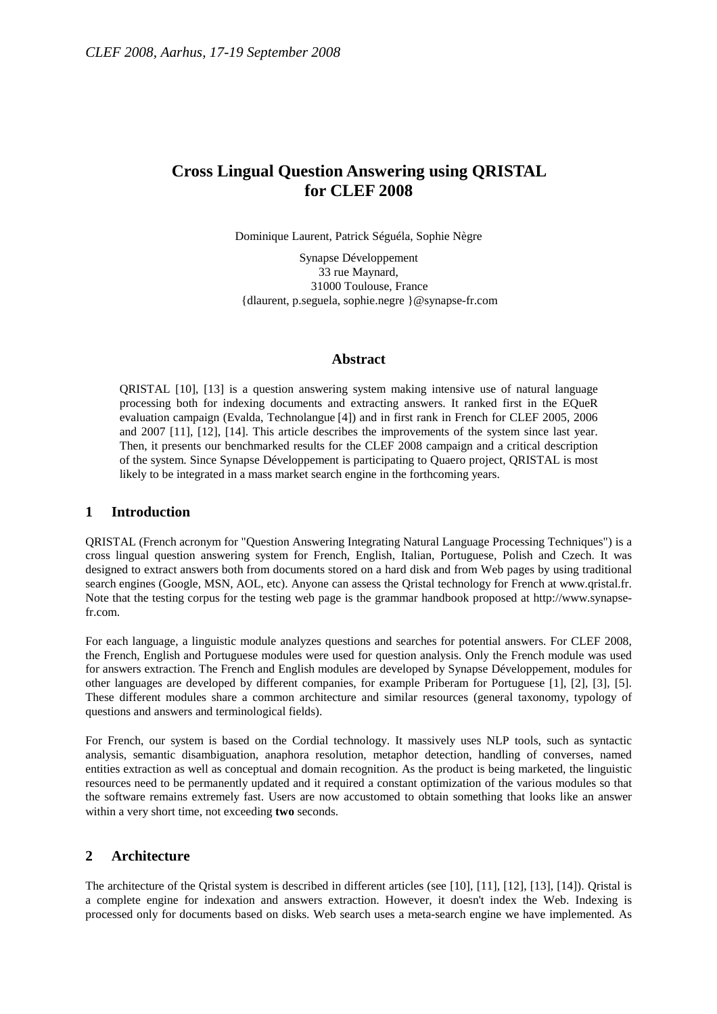# **Cross Lingual Question Answering using QRISTAL for CLEF 2008**

Dominique Laurent, Patrick Séguéla, Sophie Nègre

Synapse Développement 33 rue Maynard, 31000 Toulouse, France {dlaurent, p.seguela, sophie.negre }@synapse-fr.com

#### **Abstract**

QRISTAL [10], [13] is a question answering system making intensive use of natural language processing both for indexing documents and extracting answers. It ranked first in the EQueR evaluation campaign (Evalda, Technolangue [4]) and in first rank in French for CLEF 2005, 2006 and 2007 [11], [12], [14]. This article describes the improvements of the system since last year. Then, it presents our benchmarked results for the CLEF 2008 campaign and a critical description of the system. Since Synapse Développement is participating to Quaero project, QRISTAL is most likely to be integrated in a mass market search engine in the forthcoming years.

## **1 Introduction**

QRISTAL (French acronym for "Question Answering Integrating Natural Language Processing Techniques") is a cross lingual question answering system for French, English, Italian, Portuguese, Polish and Czech. It was designed to extract answers both from documents stored on a hard disk and from Web pages by using traditional search engines (Google, MSN, AOL, etc). Anyone can assess the Qristal technology for French at www.qristal.fr. Note that the testing corpus for the testing web page is the grammar handbook proposed at http://www.synapsefr.com.

For each language, a linguistic module analyzes questions and searches for potential answers. For CLEF 2008, the French, English and Portuguese modules were used for question analysis. Only the French module was used for answers extraction. The French and English modules are developed by Synapse Développement, modules for other languages are developed by different companies, for example Priberam for Portuguese [1], [2], [3], [5]. These different modules share a common architecture and similar resources (general taxonomy, typology of questions and answers and terminological fields).

For French, our system is based on the Cordial technology. It massively uses NLP tools, such as syntactic analysis, semantic disambiguation, anaphora resolution, metaphor detection, handling of converses, named entities extraction as well as conceptual and domain recognition. As the product is being marketed, the linguistic resources need to be permanently updated and it required a constant optimization of the various modules so that the software remains extremely fast. Users are now accustomed to obtain something that looks like an answer within a very short time, not exceeding **two** seconds.

## **2 Architecture**

The architecture of the Qristal system is described in different articles (see [10], [11], [12], [13], [14]). Qristal is a complete engine for indexation and answers extraction. However, it doesn't index the Web. Indexing is processed only for documents based on disks. Web search uses a meta-search engine we have implemented. As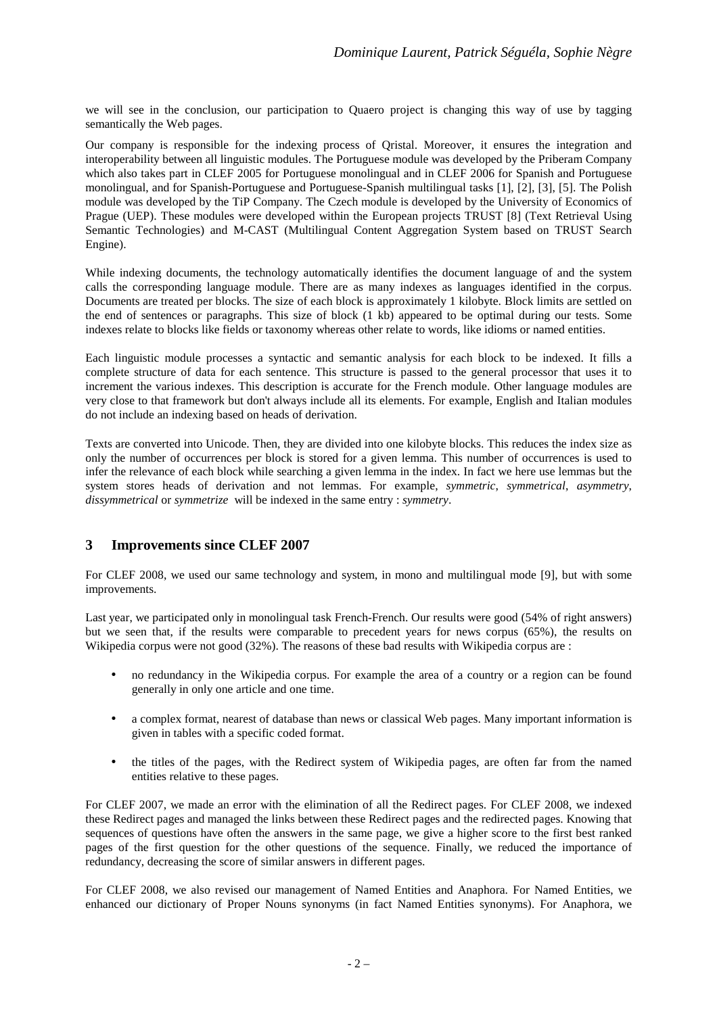we will see in the conclusion, our participation to Quaero project is changing this way of use by tagging semantically the Web pages.

Our company is responsible for the indexing process of Qristal. Moreover, it ensures the integration and interoperability between all linguistic modules. The Portuguese module was developed by the Priberam Company which also takes part in CLEF 2005 for Portuguese monolingual and in CLEF 2006 for Spanish and Portuguese monolingual, and for Spanish-Portuguese and Portuguese-Spanish multilingual tasks [1], [2], [3], [5]. The Polish module was developed by the TiP Company. The Czech module is developed by the University of Economics of Prague (UEP). These modules were developed within the European projects TRUST [8] (Text Retrieval Using Semantic Technologies) and M-CAST (Multilingual Content Aggregation System based on TRUST Search Engine).

While indexing documents, the technology automatically identifies the document language of and the system calls the corresponding language module. There are as many indexes as languages identified in the corpus. Documents are treated per blocks. The size of each block is approximately 1 kilobyte. Block limits are settled on the end of sentences or paragraphs. This size of block (1 kb) appeared to be optimal during our tests. Some indexes relate to blocks like fields or taxonomy whereas other relate to words, like idioms or named entities.

Each linguistic module processes a syntactic and semantic analysis for each block to be indexed. It fills a complete structure of data for each sentence. This structure is passed to the general processor that uses it to increment the various indexes. This description is accurate for the French module. Other language modules are very close to that framework but don't always include all its elements. For example, English and Italian modules do not include an indexing based on heads of derivation.

Texts are converted into Unicode. Then, they are divided into one kilobyte blocks. This reduces the index size as only the number of occurrences per block is stored for a given lemma. This number of occurrences is used to infer the relevance of each block while searching a given lemma in the index. In fact we here use lemmas but the system stores heads of derivation and not lemmas. For example, *symmetric*, *symmetrical*, *asymmetry*, *dissymmetrical* or *symmetrize* will be indexed in the same entry : *symmetry*.

## **3 Improvements since CLEF 2007**

For CLEF 2008, we used our same technology and system, in mono and multilingual mode [9], but with some improvements.

Last year, we participated only in monolingual task French-French. Our results were good (54% of right answers) but we seen that, if the results were comparable to precedent years for news corpus (65%), the results on Wikipedia corpus were not good (32%). The reasons of these bad results with Wikipedia corpus are :

- no redundancy in the Wikipedia corpus. For example the area of a country or a region can be found generally in only one article and one time.
- a complex format, nearest of database than news or classical Web pages. Many important information is given in tables with a specific coded format.
- the titles of the pages, with the Redirect system of Wikipedia pages, are often far from the named entities relative to these pages.

For CLEF 2007, we made an error with the elimination of all the Redirect pages. For CLEF 2008, we indexed these Redirect pages and managed the links between these Redirect pages and the redirected pages. Knowing that sequences of questions have often the answers in the same page, we give a higher score to the first best ranked pages of the first question for the other questions of the sequence. Finally, we reduced the importance of redundancy, decreasing the score of similar answers in different pages.

For CLEF 2008, we also revised our management of Named Entities and Anaphora. For Named Entities, we enhanced our dictionary of Proper Nouns synonyms (in fact Named Entities synonyms). For Anaphora, we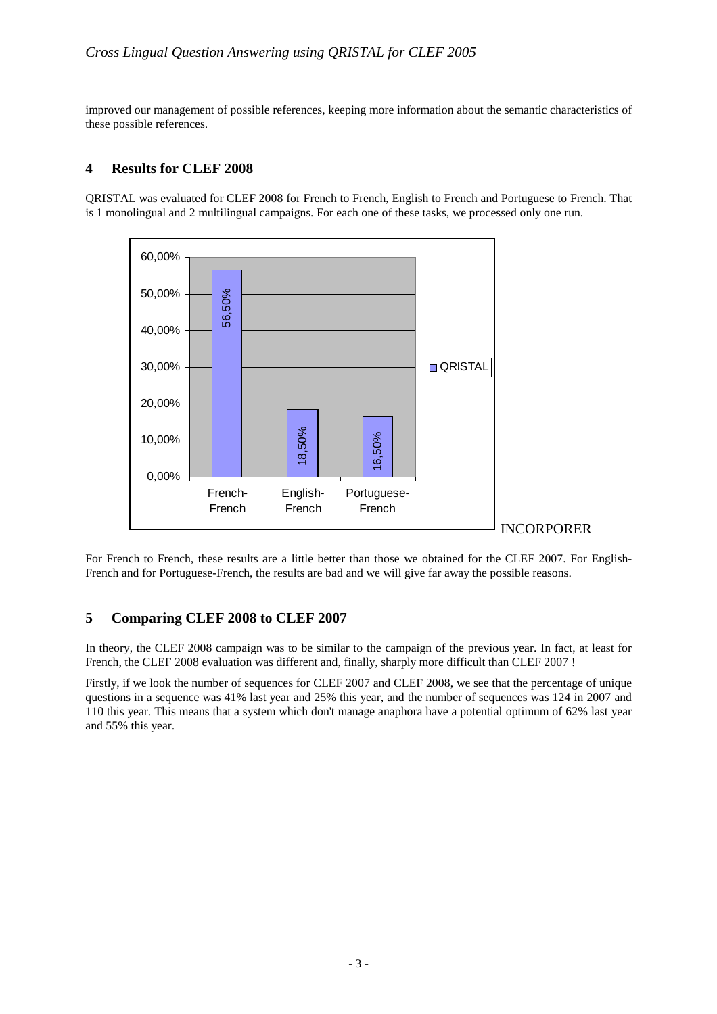improved our management of possible references, keeping more information about the semantic characteristics of these possible references.

## **4 Results for CLEF 2008**

QRISTAL was evaluated for CLEF 2008 for French to French, English to French and Portuguese to French. That is 1 monolingual and 2 multilingual campaigns. For each one of these tasks, we processed only one run.



For French to French, these results are a little better than those we obtained for the CLEF 2007. For English-French and for Portuguese-French, the results are bad and we will give far away the possible reasons.

## **5 Comparing CLEF 2008 to CLEF 2007**

In theory, the CLEF 2008 campaign was to be similar to the campaign of the previous year. In fact, at least for French, the CLEF 2008 evaluation was different and, finally, sharply more difficult than CLEF 2007 !

Firstly, if we look the number of sequences for CLEF 2007 and CLEF 2008, we see that the percentage of unique questions in a sequence was 41% last year and 25% this year, and the number of sequences was 124 in 2007 and 110 this year. This means that a system which don't manage anaphora have a potential optimum of 62% last year and 55% this year.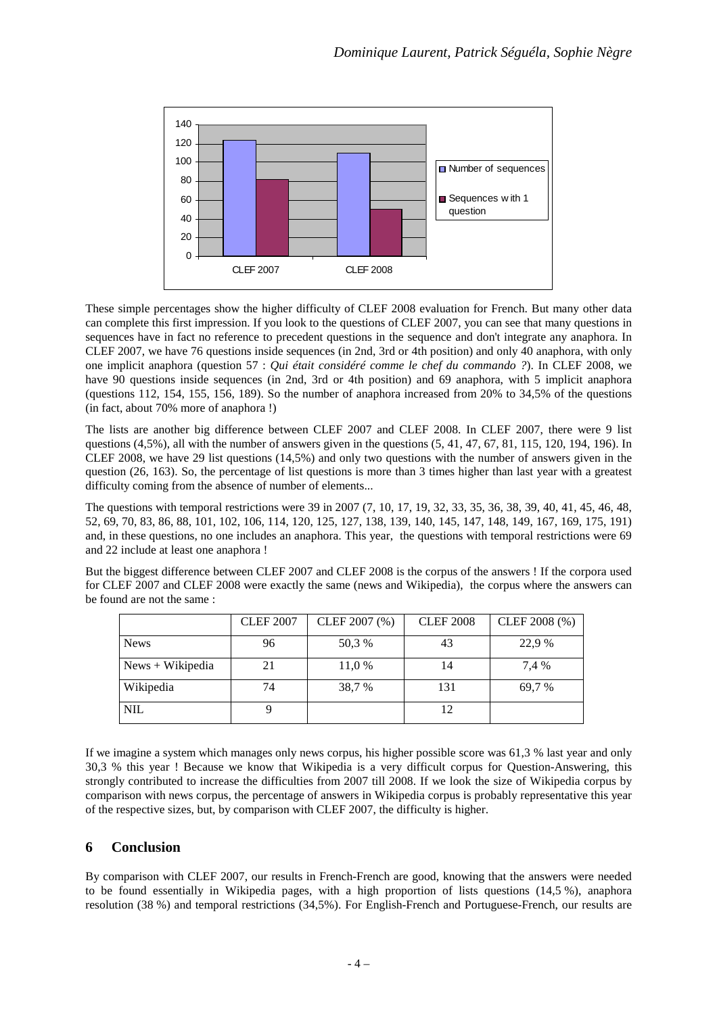

These simple percentages show the higher difficulty of CLEF 2008 evaluation for French. But many other data can complete this first impression. If you look to the questions of CLEF 2007, you can see that many questions in sequences have in fact no reference to precedent questions in the sequence and don't integrate any anaphora. In CLEF 2007, we have 76 questions inside sequences (in 2nd, 3rd or 4th position) and only 40 anaphora, with only one implicit anaphora (question 57 : *Qui était considéré comme le chef du commando ?*). In CLEF 2008, we have 90 questions inside sequences (in 2nd, 3rd or 4th position) and 69 anaphora, with 5 implicit anaphora (questions 112, 154, 155, 156, 189). So the number of anaphora increased from 20% to 34,5% of the questions (in fact, about 70% more of anaphora !)

The lists are another big difference between CLEF 2007 and CLEF 2008. In CLEF 2007, there were 9 list questions (4,5%), all with the number of answers given in the questions (5, 41, 47, 67, 81, 115, 120, 194, 196). In CLEF 2008, we have 29 list questions (14,5%) and only two questions with the number of answers given in the question (26, 163). So, the percentage of list questions is more than 3 times higher than last year with a greatest difficulty coming from the absence of number of elements...

The questions with temporal restrictions were 39 in 2007 (7, 10, 17, 19, 32, 33, 35, 36, 38, 39, 40, 41, 45, 46, 48, 52, 69, 70, 83, 86, 88, 101, 102, 106, 114, 120, 125, 127, 138, 139, 140, 145, 147, 148, 149, 167, 169, 175, 191) and, in these questions, no one includes an anaphora. This year, the questions with temporal restrictions were 69 and 22 include at least one anaphora !

But the biggest difference between CLEF 2007 and CLEF 2008 is the corpus of the answers ! If the corpora used for CLEF 2007 and CLEF 2008 were exactly the same (news and Wikipedia), the corpus where the answers can be found are not the same :

|                    | <b>CLEF 2007</b> | CLEF 2007 (%) | <b>CLEF 2008</b> | CLEF 2008 (%) |
|--------------------|------------------|---------------|------------------|---------------|
| <b>News</b>        | 96               | 50,3 %        | 43               | 22,9 %        |
| $News + Wikipedia$ | 21               | 11,0 %        | 14               | 7.4 %         |
| Wikipedia          | 74               | 38,7 %        | 131              | 69,7 %        |
| <b>NIL</b>         |                  |               |                  |               |

If we imagine a system which manages only news corpus, his higher possible score was 61,3 % last year and only 30,3 % this year ! Because we know that Wikipedia is a very difficult corpus for Question-Answering, this strongly contributed to increase the difficulties from 2007 till 2008. If we look the size of Wikipedia corpus by comparison with news corpus, the percentage of answers in Wikipedia corpus is probably representative this year of the respective sizes, but, by comparison with CLEF 2007, the difficulty is higher.

## **6 Conclusion**

By comparison with CLEF 2007, our results in French-French are good, knowing that the answers were needed to be found essentially in Wikipedia pages, with a high proportion of lists questions (14,5 %), anaphora resolution (38 %) and temporal restrictions (34,5%). For English-French and Portuguese-French, our results are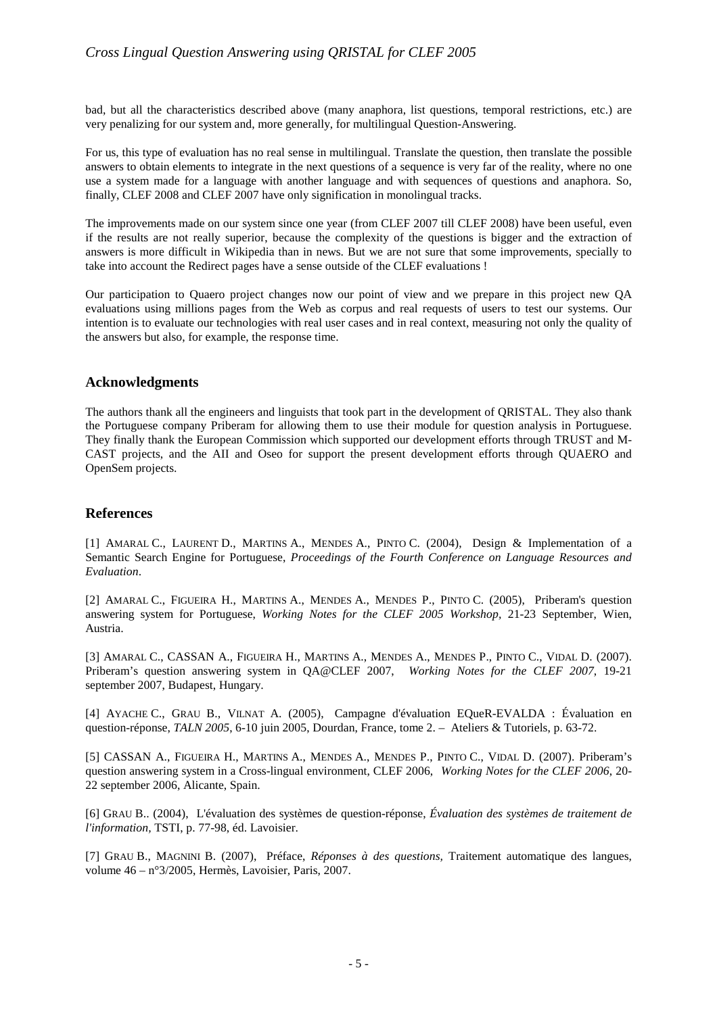bad, but all the characteristics described above (many anaphora, list questions, temporal restrictions, etc.) are very penalizing for our system and, more generally, for multilingual Question-Answering.

For us, this type of evaluation has no real sense in multilingual. Translate the question, then translate the possible answers to obtain elements to integrate in the next questions of a sequence is very far of the reality, where no one use a system made for a language with another language and with sequences of questions and anaphora. So, finally, CLEF 2008 and CLEF 2007 have only signification in monolingual tracks.

The improvements made on our system since one year (from CLEF 2007 till CLEF 2008) have been useful, even if the results are not really superior, because the complexity of the questions is bigger and the extraction of answers is more difficult in Wikipedia than in news. But we are not sure that some improvements, specially to take into account the Redirect pages have a sense outside of the CLEF evaluations !

Our participation to Quaero project changes now our point of view and we prepare in this project new QA evaluations using millions pages from the Web as corpus and real requests of users to test our systems. Our intention is to evaluate our technologies with real user cases and in real context, measuring not only the quality of the answers but also, for example, the response time.

# **Acknowledgments**

The authors thank all the engineers and linguists that took part in the development of QRISTAL. They also thank the Portuguese company Priberam for allowing them to use their module for question analysis in Portuguese. They finally thank the European Commission which supported our development efforts through TRUST and M-CAST projects, and the AII and Oseo for support the present development efforts through QUAERO and OpenSem projects.

# **References**

[1] AMARAL C., LAURENT D., MARTINS A., MENDES A., PINTO C. (2004), Design & Implementation of a Semantic Search Engine for Portuguese, *Proceedings of the Fourth Conference on Language Resources and Evaluation*.

[2] AMARAL C., FIGUEIRA H., MARTINS A., MENDES A., MENDES P., PINTO C. (2005), Priberam's question answering system for Portuguese, *Working Notes for the CLEF 2005 Workshop,* 21-23 September, Wien, Austria.

[3] AMARAL C., CASSAN A., FIGUEIRA H., MARTINS A., MENDES A., MENDES P., PINTO C., VIDAL D. (2007). Priberam's question answering system in QA@CLEF 2007, *Working Notes for the CLEF 2007*, 19-21 september 2007, Budapest, Hungary.

[4] AYACHE C., GRAU B., VILNAT A. (2005), Campagne d'évaluation EQueR-EVALDA : Évaluation en question-réponse, *TALN 2005*, 6-10 juin 2005, Dourdan, France, tome 2. – Ateliers & Tutoriels, p. 63-72.

[5] CASSAN A., FIGUEIRA H., MARTINS A., MENDES A., MENDES P., PINTO C., VIDAL D. (2007). Priberam's question answering system in a Cross-lingual environment, CLEF 2006, *Working Notes for the CLEF 2006*, 20- 22 september 2006, Alicante, Spain.

[6] GRAU B.. (2004), L'évaluation des systèmes de question-réponse, *Évaluation des systèmes de traitement de l'information,* TSTI, p. 77-98, éd. Lavoisier.

[7] GRAU B., MAGNINI B. (2007), Préface, *Réponses à des questions,* Traitement automatique des langues, volume 46 – n°3/2005, Hermès, Lavoisier, Paris, 2007.